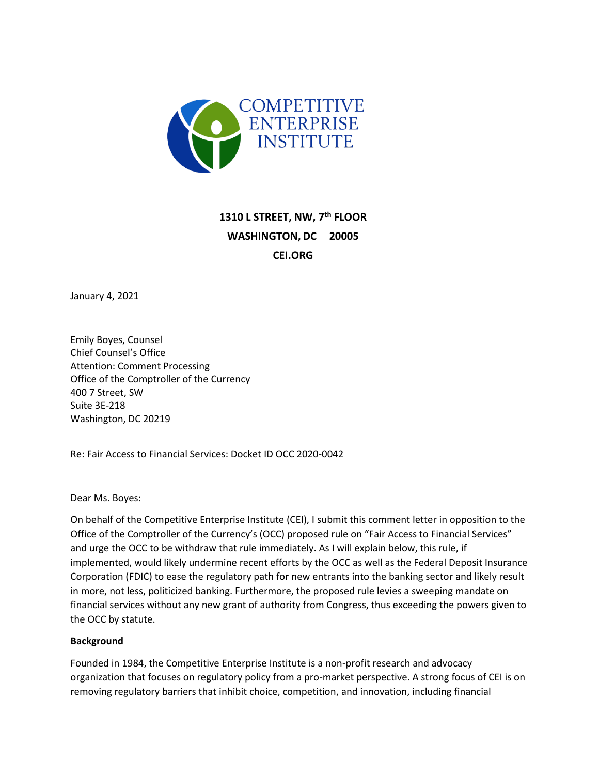

# **1310 L STREET, NW, 7th FLOOR WASHINGTON, DC 20005 CEI.ORG**

January 4, 2021

Emily Boyes, Counsel Chief Counsel's Office Attention: Comment Processing Office of the Comptroller of the Currency 400 7 Street, SW Suite 3E-218 Washington, DC 20219

Re: Fair Access to Financial Services: Docket ID OCC 2020-0042

Dear Ms. Boyes:

On behalf of the Competitive Enterprise Institute (CEI), I submit this comment letter in opposition to the Office of the Comptroller of the Currency's (OCC) proposed rule on "Fair Access to Financial Services" and urge the OCC to be withdraw that rule immediately. As I will explain below, this rule, if implemented, would likely undermine recent efforts by the OCC as well as the Federal Deposit Insurance Corporation (FDIC) to ease the regulatory path for new entrants into the banking sector and likely result in more, not less, politicized banking. Furthermore, the proposed rule levies a sweeping mandate on financial services without any new grant of authority from Congress, thus exceeding the powers given to the OCC by statute.

#### **Background**

Founded in 1984, the Competitive Enterprise Institute is a non-profit research and advocacy organization that focuses on regulatory policy from a pro-market perspective. A strong focus of CEI is on removing regulatory barriers that inhibit choice, competition, and innovation, including financial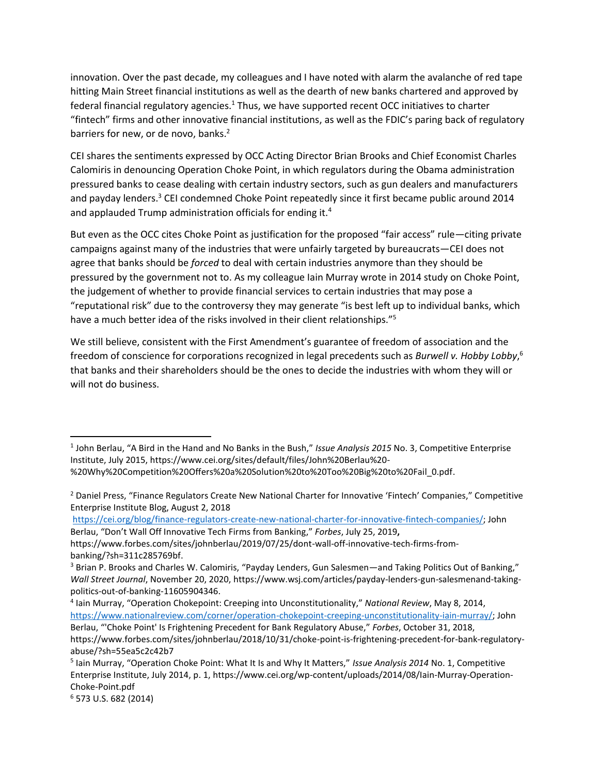innovation. Over the past decade, my colleagues and I have noted with alarm the avalanche of red tape hitting Main Street financial institutions as well as the dearth of new banks chartered and approved by federal financial regulatory agencies.<sup>1</sup> Thus, we have supported recent OCC initiatives to charter "fintech" firms and other innovative financial institutions, as well as the FDIC's paring back of regulatory barriers for new, or de novo, banks.<sup>2</sup>

CEI shares the sentiments expressed by OCC Acting Director Brian Brooks and Chief Economist Charles Calomiris in denouncing Operation Choke Point, in which regulators during the Obama administration pressured banks to cease dealing with certain industry sectors, such as gun dealers and manufacturers and payday lenders.<sup>3</sup> CEI condemned Choke Point repeatedly since it first became public around 2014 and applauded Trump administration officials for ending it.<sup>4</sup>

But even as the OCC cites Choke Point as justification for the proposed "fair access" rule—citing private campaigns against many of the industries that were unfairly targeted by bureaucrats—CEI does not agree that banks should be *forced* to deal with certain industries anymore than they should be pressured by the government not to. As my colleague Iain Murray wrote in 2014 study on Choke Point, the judgement of whether to provide financial services to certain industries that may pose a "reputational risk" due to the controversy they may generate "is best left up to individual banks, which have a much better idea of the risks involved in their client relationships."<sup>5</sup>

We still believe, consistent with the First Amendment's guarantee of freedom of association and the freedom of conscience for corporations recognized in legal precedents such as *Burwell v. Hobby Lobby*, 6 that banks and their shareholders should be the ones to decide the industries with whom they will or will not do business.

[https://cei.org/blog/finance-regulators-create-new-national-charter-for-innovative-fintech-companies/;](https://cei.org/blog/finance-regulators-create-new-national-charter-for-innovative-fintech-companies/) John Berlau, "Don't Wall Off Innovative Tech Firms from Banking," *Forbes*, July 25, 2019**,** 

l

<sup>1</sup> John Berlau, "A Bird in the Hand and No Banks in the Bush," *Issue Analysis 2015* No. 3, Competitive Enterprise Institute, July 2015, https://www.cei.org/sites/default/files/John%20Berlau%20- %20Why%20Competition%20Offers%20a%20Solution%20to%20Too%20Big%20to%20Fail\_0.pdf.

<sup>&</sup>lt;sup>2</sup> Daniel Press, "Finance Regulators Create New National Charter for Innovative 'Fintech' Companies," Competitive Enterprise Institute Blog, August 2, 2018

https://www.forbes.com/sites/johnberlau/2019/07/25/dont-wall-off-innovative-tech-firms-frombanking/?sh=311c285769bf.

<sup>&</sup>lt;sup>3</sup> Brian P. Brooks and Charles W. Calomiris, "Payday Lenders, Gun Salesmen—and Taking Politics Out of Banking," *Wall Street Journal*, November 20, 2020, https://www.wsj.com/articles/payday-lenders-gun-salesmenand-takingpolitics-out-of-banking-11605904346.

<sup>4</sup> Iain Murray, "Operation Chokepoint: Creeping into Unconstitutionality," *National Review*, May 8, 2014, [https://www.nationalreview.com/corner/operation-chokepoint-creeping-unconstitutionality-iain-murray/;](https://www.nationalreview.com/corner/operation-chokepoint-creeping-unconstitutionality-iain-murray/) John Berlau, "'Choke Point' Is Frightening Precedent for Bank Regulatory Abuse," *Forbes*, October 31, 2018,

https://www.forbes.com/sites/johnberlau/2018/10/31/choke-point-is-frightening-precedent-for-bank-regulatoryabuse/?sh=55ea5c2c42b7

<sup>5</sup> Iain Murray, "Operation Choke Point: What It Is and Why It Matters," *Issue Analysis 2014* No. 1, Competitive Enterprise Institute, July 2014, p. 1, https://www.cei.org/wp-content/uploads/2014/08/Iain-Murray-Operation-Choke-Point.pdf

<sup>6</sup> 573 U.S. 682 (2014)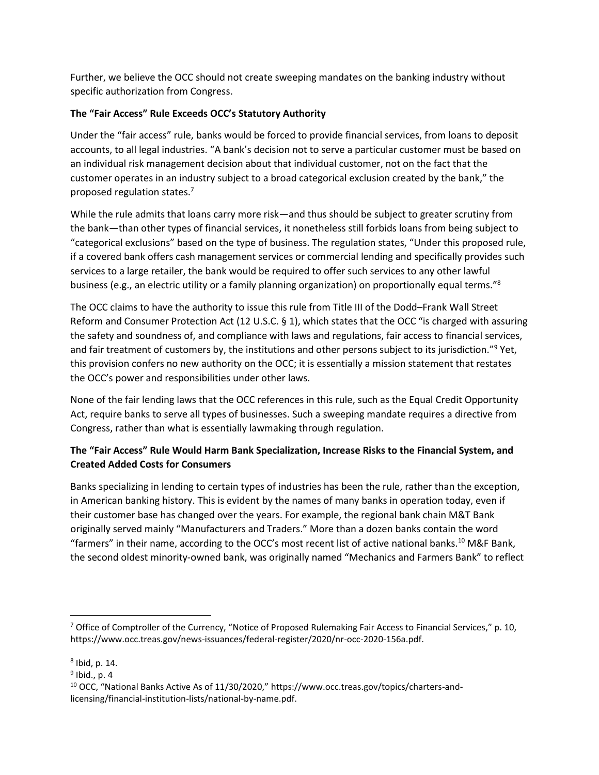Further, we believe the OCC should not create sweeping mandates on the banking industry without specific authorization from Congress.

## **The "Fair Access" Rule Exceeds OCC's Statutory Authority**

Under the "fair access" rule, banks would be forced to provide financial services, from loans to deposit accounts, to all legal industries. "A bank's decision not to serve a particular customer must be based on an individual risk management decision about that individual customer, not on the fact that the customer operates in an industry subject to a broad categorical exclusion created by the bank," the proposed regulation states.<sup>7</sup>

While the rule admits that loans carry more risk—and thus should be subject to greater scrutiny from the bank—than other types of financial services, it nonetheless still forbids loans from being subject to "categorical exclusions" based on the type of business. The regulation states, "Under this proposed rule, if a covered bank offers cash management services or commercial lending and specifically provides such services to a large retailer, the bank would be required to offer such services to any other lawful business (e.g., an electric utility or a family planning organization) on proportionally equal terms."<sup>8</sup>

The OCC claims to have the authority to issue this rule from Title III of the Dodd–Frank Wall Street Reform and Consumer Protection Act (12 U.S.C. § 1), which states that the OCC "is charged with assuring the safety and soundness of, and compliance with laws and regulations, fair access to financial services, and fair treatment of customers by, the institutions and other persons subject to its jurisdiction."<sup>9</sup> Yet, this provision confers no new authority on the OCC; it is essentially a mission statement that restates the OCC's power and responsibilities under other laws.

None of the fair lending laws that the OCC references in this rule, such as the Equal Credit Opportunity Act, require banks to serve all types of businesses. Such a sweeping mandate requires a directive from Congress, rather than what is essentially lawmaking through regulation.

# **The "Fair Access" Rule Would Harm Bank Specialization, Increase Risks to the Financial System, and Created Added Costs for Consumers**

Banks specializing in lending to certain types of industries has been the rule, rather than the exception, in American banking history. This is evident by the names of many banks in operation today, even if their customer base has changed over the years. For example, the regional bank chain M&T Bank originally served mainly "Manufacturers and Traders." More than a dozen banks contain the word "farmers" in their name, according to the OCC's most recent list of active national banks.<sup>10</sup> M&F Bank, the second oldest minority-owned bank, was originally named "Mechanics and Farmers Bank" to reflect

<sup>9</sup> Ibid., p. 4

 $\overline{\phantom{a}}$ 

<sup>&</sup>lt;sup>7</sup> Office of Comptroller of the Currency, "Notice of Proposed Rulemaking Fair Access to Financial Services," p. 10, https://www.occ.treas.gov/news-issuances/federal-register/2020/nr-occ-2020-156a.pdf.

<sup>8</sup> Ibid, p. 14.

<sup>10</sup> OCC, "National Banks Active As of 11/30/2020," https://www.occ.treas.gov/topics/charters-andlicensing/financial-institution-lists/national-by-name.pdf.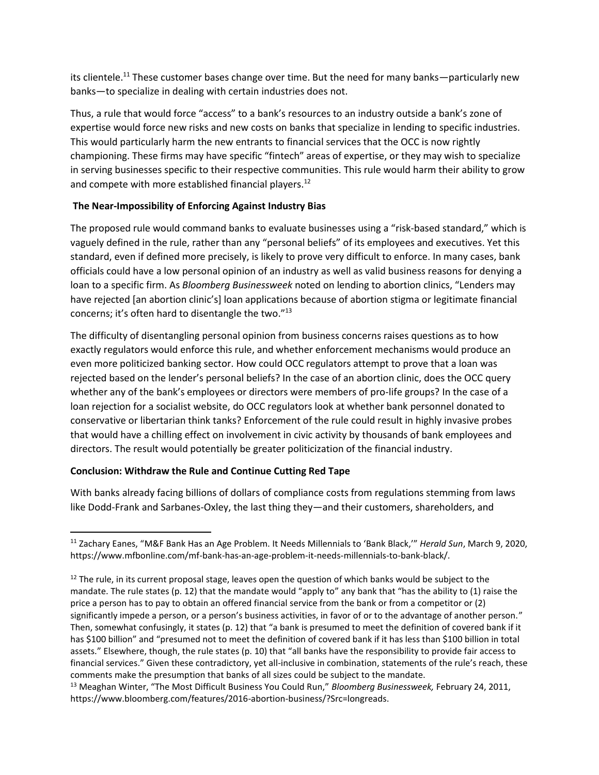its clientele.<sup>11</sup> These customer bases change over time. But the need for many banks—particularly new banks—to specialize in dealing with certain industries does not.

Thus, a rule that would force "access" to a bank's resources to an industry outside a bank's zone of expertise would force new risks and new costs on banks that specialize in lending to specific industries. This would particularly harm the new entrants to financial services that the OCC is now rightly championing. These firms may have specific "fintech" areas of expertise, or they may wish to specialize in serving businesses specific to their respective communities. This rule would harm their ability to grow and compete with more established financial players.<sup>12</sup>

### **The Near-Impossibility of Enforcing Against Industry Bias**

The proposed rule would command banks to evaluate businesses using a "risk-based standard," which is vaguely defined in the rule, rather than any "personal beliefs" of its employees and executives. Yet this standard, even if defined more precisely, is likely to prove very difficult to enforce. In many cases, bank officials could have a low personal opinion of an industry as well as valid business reasons for denying a loan to a specific firm. As *Bloomberg Businessweek* noted on lending to abortion clinics, "Lenders may have rejected [an abortion clinic's] loan applications because of abortion stigma or legitimate financial concerns; it's often hard to disentangle the two."<sup>13</sup>

The difficulty of disentangling personal opinion from business concerns raises questions as to how exactly regulators would enforce this rule, and whether enforcement mechanisms would produce an even more politicized banking sector. How could OCC regulators attempt to prove that a loan was rejected based on the lender's personal beliefs? In the case of an abortion clinic, does the OCC query whether any of the bank's employees or directors were members of pro-life groups? In the case of a loan rejection for a socialist website, do OCC regulators look at whether bank personnel donated to conservative or libertarian think tanks? Enforcement of the rule could result in highly invasive probes that would have a chilling effect on involvement in civic activity by thousands of bank employees and directors. The result would potentially be greater politicization of the financial industry.

## **Conclusion: Withdraw the Rule and Continue Cutting Red Tape**

 $\overline{\phantom{a}}$ 

With banks already facing billions of dollars of compliance costs from regulations stemming from laws like Dodd-Frank and Sarbanes-Oxley, the last thing they—and their customers, shareholders, and

<sup>11</sup> Zachary Eanes, "M&F Bank Has an Age Problem. It Needs Millennials to 'Bank Black,'" *Herald Sun*, March 9, 2020, https://www.mfbonline.com/mf-bank-has-an-age-problem-it-needs-millennials-to-bank-black/.

 $12$  The rule, in its current proposal stage, leaves open the question of which banks would be subject to the mandate. The rule states (p. 12) that the mandate would "apply to" any bank that "has the ability to (1) raise the price a person has to pay to obtain an offered financial service from the bank or from a competitor or (2) significantly impede a person, or a person's business activities, in favor of or to the advantage of another person." Then, somewhat confusingly, it states (p. 12) that "a bank is presumed to meet the definition of covered bank if it has \$100 billion" and "presumed not to meet the definition of covered bank if it has less than \$100 billion in total assets." Elsewhere, though, the rule states (p. 10) that "all banks have the responsibility to provide fair access to financial services." Given these contradictory, yet all-inclusive in combination, statements of the rule's reach, these comments make the presumption that banks of all sizes could be subject to the mandate.

<sup>13</sup> Meaghan Winter, "The Most Difficult Business You Could Run," *Bloomberg Businessweek,* February 24, 2011, https://www.bloomberg.com/features/2016-abortion-business/?Src=longreads.